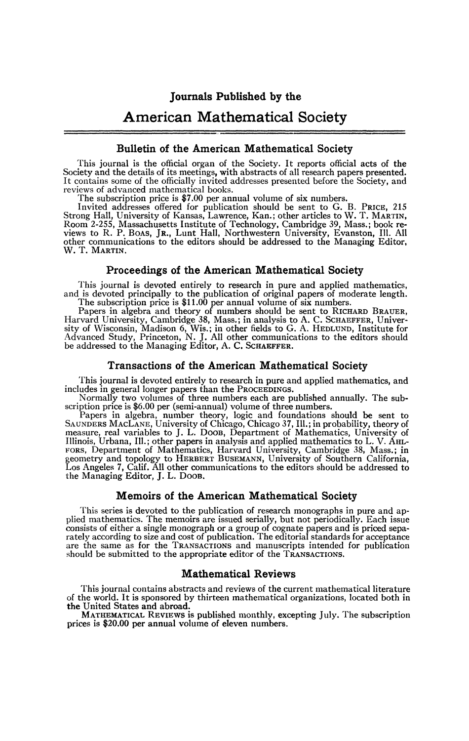# American Mathematical Society

## **Bulletin of the American Mathematical Society**

This journal is the official organ of the Society. It reports official acts of the Society and the details of its meetings, with abstracts of all research papers presented. It contains some of the officially invited addres reviews of advanced mathematical books.

The subscription price is \$7.00 per annual volume of six numbers.

Invited addresses offered for publication should be sent to G. B. PRICE, 215 Strong Hall, University of Kansas, Lawrence, Kan. ; other articles to W. T. MARTIN, Room 2-255, Massachusetts Institute of Technology, Cambridge 39, Mass.; book re-views to R. P. BOAS, JR., Lunt Hall, Northwestern University, Evanston, 111. All other communications to the editors should be addressed to the Managing Editor, W. T. MARTIN.

## **Proceedings of the American Mathematical Society**

This journal is devoted entirely to research in pure and applied mathematics, and is devoted principally to the publication of original papers of moderate length. The subscription price is \$11.00 per annual volume of six numbers.

Papers in algebra and theory of numbers should be sent to RICHARD BRAUER,<br>Harvard University, Cambridge 38, Mass.; in analysis to A. C. SCHAEFFER, Univer-<br>sity of Wisconsin, Madison 6, Wis.; in other fields to G. A. HEDLUN

#### **Transactions of the American Mathematical Society**

This journal is devoted entirely to research in pure and applied mathematics, and includes in general longer papers than the PROCEEDINGS.

Normally two volumes of three numbers each are published annually. The subscription price is \$6.00 per (semi-annual) volume of three numbers.

Papers in algebra, number theory, logic and foundations should be sent to SAUNDERS MACLANE, University of Chicago, Chicago 37, Ill.; in probability, theory of measure, real variables to J. L. DOOB, Department of Mathematic FORS, Department of Mathematics, Harvard University, Cambridge 38, Mass.; in geometry and topology to HERBERT BUSEMANN, University of Southern California, Los Angeles 7, Calif. All other communications to the editors shoul the Managing Editor, J. L. DOOB.

#### **Memoirs of the American Mathematical Society**

This series is devoted to the publication of research monographs in pure and applied mathematics. The memoirs are issued serially, but not periodically. Each issue consists of either a single monograph or a group of cognate papers and is priced sepa-rately according to size and cost of publication. The editorial standards for acceptance are the same as for the TRANSACTIONS and manuscripts intended for publication should be submitted to the appropriate editor of the TRANSACTIONS.

#### **Mathematical Reviews**

This journal contains abstracts and reviews of the current mathematical literature of the world. It is sponsored by thirteen mathematical organizations, located both in the United States and abroad.

MATHEMATICAL REVIEWS is published monthly, excepting July. The subscription prices is \$20.00 per annual volume of eleven numbers.